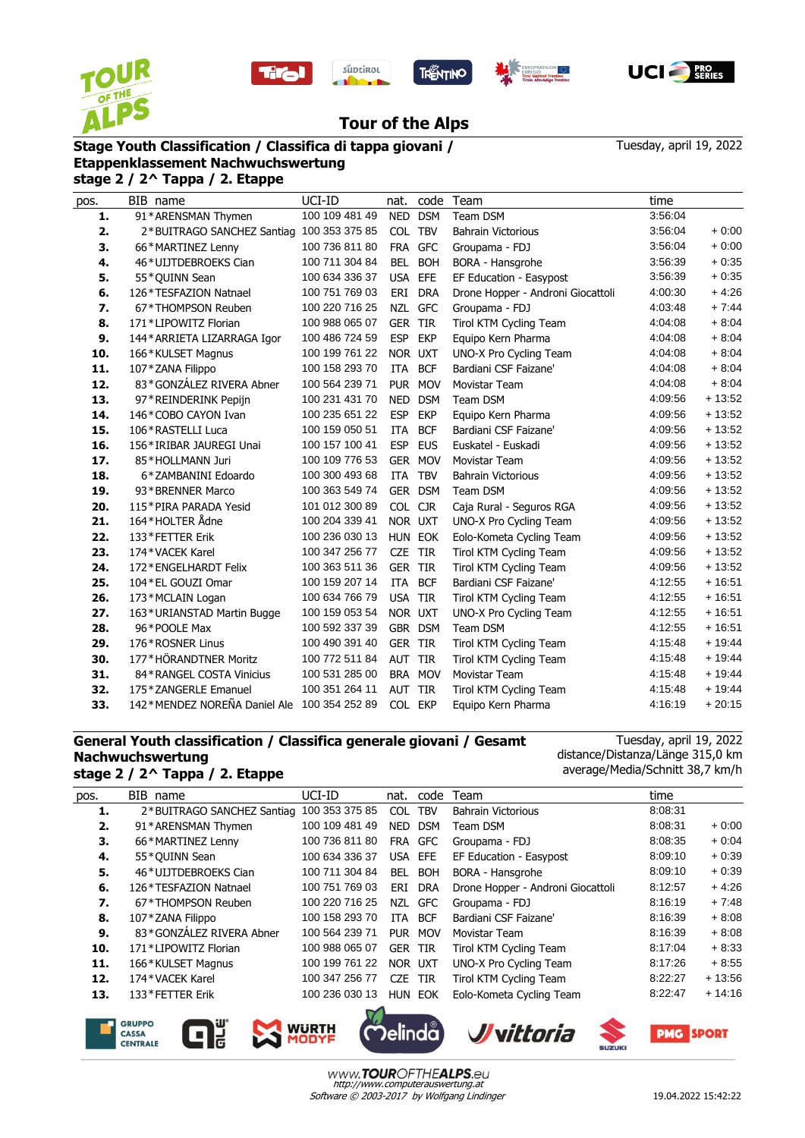









## **Tour of the Alps**

## **Stage Youth Classification / Classifica di tappa giovani /**

Tuesday, april 19, 2022

## **Etappenklassement Nachwuchswertung stage 2 / 2^ Tappa / 2. Etappe**

| pos. | BIB name                                    | UCI-ID         | nat.           | code       | Team                              | time    |          |
|------|---------------------------------------------|----------------|----------------|------------|-----------------------------------|---------|----------|
| 1.   | 91*ARENSMAN Thymen                          | 100 109 481 49 | NED            | <b>DSM</b> | Team DSM                          | 3:56:04 |          |
| 2.   | 2*BUITRAGO SANCHEZ Santiag 100 353 375 85   |                | <b>COL</b>     | <b>TBV</b> | <b>Bahrain Victorious</b>         | 3:56:04 | $+0:00$  |
| 3.   | 66*MARTINEZ Lenny                           | 100 736 811 80 |                | FRA GFC    | Groupama - FDJ                    | 3:56:04 | $+0:00$  |
| 4.   | 46*UIJTDEBROEKS Cian                        | 100 711 304 84 | BEL            | <b>BOH</b> | BORA - Hansgrohe                  | 3:56:39 | $+0:35$  |
| 5.   | 55*QUINN Sean                               | 100 634 336 37 | USA EFE        |            | EF Education - Easypost           | 3:56:39 | $+0:35$  |
| 6.   | 126*TESFAZION Natnael                       | 100 751 769 03 | ERI            | <b>DRA</b> | Drone Hopper - Androni Giocattoli | 4:00:30 | $+4:26$  |
| 7.   | 67*THOMPSON Reuben                          | 100 220 716 25 |                | NZL GFC    | Groupama - FDJ                    | 4:03:48 | $+7.44$  |
| 8.   | 171*LIPOWITZ Florian                        | 100 988 065 07 | <b>GER</b>     | <b>TIR</b> | Tirol KTM Cycling Team            | 4:04:08 | $+8:04$  |
| 9.   | 144* ARRIETA LIZARRAGA Igor                 | 100 486 724 59 | <b>ESP</b>     | <b>EKP</b> | Equipo Kern Pharma                | 4:04:08 | $+8.04$  |
| 10.  | 166*KULSET Magnus                           | 100 199 761 22 | NOR UXT        |            | UNO-X Pro Cycling Team            | 4:04:08 | $+8:04$  |
| 11.  | 107*ZANA Filippo                            | 100 158 293 70 | <b>ITA</b>     | <b>BCF</b> | Bardiani CSF Faizane'             | 4:04:08 | $+8.04$  |
| 12.  | 83*GONZÁLEZ RIVERA Abner                    | 100 564 239 71 |                | PUR MOV    | <b>Movistar Team</b>              | 4:04:08 | $+8:04$  |
| 13.  | 97*REINDERINK Pepijn                        | 100 231 431 70 | <b>NED</b>     | <b>DSM</b> | Team DSM                          | 4:09:56 | $+13:52$ |
| 14.  | 146*COBO CAYON Ivan                         | 100 235 651 22 | <b>ESP</b>     | <b>EKP</b> | Equipo Kern Pharma                | 4:09:56 | $+13:52$ |
| 15.  | 106*RASTELLI Luca                           | 100 159 050 51 | ITA            | <b>BCF</b> | Bardiani CSF Faizane'             | 4:09:56 | $+13:52$ |
| 16.  | 156*IRIBAR JAUREGI Unai                     | 100 157 100 41 | <b>ESP</b>     | <b>EUS</b> | Euskatel - Euskadi                | 4:09:56 | $+13:52$ |
| 17.  | 85*HOLLMANN Juri                            | 100 109 776 53 |                | GER MOV    | <b>Movistar Team</b>              | 4:09:56 | $+13:52$ |
| 18.  | 6*ZAMBANINI Edoardo                         | 100 300 493 68 | ITA            | <b>TBV</b> | <b>Bahrain Victorious</b>         | 4:09:56 | $+13:52$ |
| 19.  | 93*BRENNER Marco                            | 100 363 549 74 |                | GER DSM    | Team DSM                          | 4:09:56 | $+13:52$ |
| 20.  | 115*PIRA PARADA Yesid                       | 101 012 300 89 | <b>COL</b>     | <b>CJR</b> | Caja Rural - Seguros RGA          | 4:09:56 | $+13:52$ |
| 21.  | 164*HOLTER Ådne                             | 100 204 339 41 |                | NOR UXT    | UNO-X Pro Cycling Team            | 4:09:56 | $+13:52$ |
| 22.  | 133*FETTER Erik                             | 100 236 030 13 |                | HUN EOK    | Eolo-Kometa Cycling Team          | 4:09:56 | $+13:52$ |
| 23.  | 174*VACEK Karel                             | 100 347 256 77 | CZE TIR        |            | Tirol KTM Cycling Team            | 4:09:56 | $+13:52$ |
| 24.  | 172*ENGELHARDT Felix                        | 100 363 511 36 | <b>GER TIR</b> |            | Tirol KTM Cycling Team            | 4:09:56 | $+13:52$ |
| 25.  | 104 * EL GOUZI Omar                         | 100 159 207 14 | ITA            | <b>BCF</b> | Bardiani CSF Faizane'             | 4:12:55 | $+16:51$ |
| 26.  | 173*MCLAIN Logan                            | 100 634 766 79 | USA TIR        |            | Tirol KTM Cycling Team            | 4:12:55 | $+16:51$ |
| 27.  | 163*URIANSTAD Martin Bugge                  | 100 159 053 54 | NOR UXT        |            | UNO-X Pro Cycling Team            | 4:12:55 | $+16.51$ |
| 28.  | 96*POOLE Max                                | 100 592 337 39 |                | GBR DSM    | Team DSM                          | 4:12:55 | $+16:51$ |
| 29.  | 176*ROSNER Linus                            | 100 490 391 40 | <b>GER TIR</b> |            | Tirol KTM Cycling Team            | 4:15:48 | $+19:44$ |
| 30.  | 177*HÖRANDTNER Moritz                       | 100 772 511 84 | AUT            | <b>TIR</b> | Tirol KTM Cycling Team            | 4:15:48 | $+19:44$ |
| 31.  | 84*RANGEL COSTA Vinicius                    | 100 531 285 00 |                | BRA MOV    | Movistar Team                     | 4:15:48 | $+19:44$ |
| 32.  | 175 * ZANGERLE Emanuel                      | 100 351 264 11 | AUT            | <b>TIR</b> | Tirol KTM Cycling Team            | 4:15:48 | $+19:44$ |
| 33.  | 142*MENDEZ NOREÑA Daniel Ale 100 354 252 89 |                | COL EKP        |            | Equipo Kern Pharma                | 4:16:19 | $+20:15$ |

## **General Youth classification / Classifica generale giovani / Gesamt Nachwuchswertung stage 2 / 2^ Tappa / 2. Etappe**

Tuesday, april 19, 2022 distance/Distanza/Länge 315,0 km average/Media/Schnitt 38,7 km/h

| pos.                     | BIB name                   | UCI-ID         | nat.           | code       | Team                              | time    |          |  |  |
|--------------------------|----------------------------|----------------|----------------|------------|-----------------------------------|---------|----------|--|--|
| 1.                       | 2*BUITRAGO SANCHEZ Santiag | 100 353 375 85 | <b>COL</b>     | <b>TBV</b> | <b>Bahrain Victorious</b>         | 8:08:31 |          |  |  |
| 2.                       | 91*ARENSMAN Thymen         | 100 109 481 49 | NED.           | <b>DSM</b> | Team DSM                          | 8:08:31 | $+0:00$  |  |  |
| З.                       | 66*MARTINEZ Lenny          | 100 736 811 80 |                | FRA GFC    | Groupama - FDJ                    | 8:08:35 | $+0.04$  |  |  |
| 4.                       | 55*QUINN Sean              | 100 634 336 37 | <b>USA</b>     | <b>EFE</b> | EF Education - Easypost           | 8:09:10 | $+0.39$  |  |  |
| 5.                       | 46*ULJTDEBROEKS Cian       | 100 711 304 84 | <b>BEL</b>     | <b>BOH</b> | BORA - Hansgrohe                  | 8:09:10 | $+0.39$  |  |  |
| 6.                       | 126*TESFAZION Natnael      | 100 751 769 03 | ERI            | DRA        | Drone Hopper - Androni Giocattoli | 8:12:57 | $+4.26$  |  |  |
| 7.                       | 67*THOMPSON Reuben         | 100 220 716 25 | NZL            | GFC        | Groupama - FDJ                    | 8:16:19 | $+7:48$  |  |  |
| 8.                       | 107 * ZANA Filippo         | 100 158 293 70 | ITA.           | <b>BCF</b> | Bardiani CSF Faizane'             | 8:16:39 | $+8:08$  |  |  |
| 9.                       | 83*GONZÁLEZ RIVERA Abner   | 100 564 239 71 | <b>PUR</b>     | <b>MOV</b> | Movistar Team                     | 8:16:39 | $+8:08$  |  |  |
| 10.                      | 171*LIPOWITZ Florian       | 100 988 065 07 | <b>GER TIR</b> |            | Tirol KTM Cycling Team            | 8:17:04 | $+8:33$  |  |  |
| 11.                      | 166*KULSET Magnus          | 100 199 761 22 | NOR UXT        |            | UNO-X Pro Cycling Team            | 8:17:26 | $+8:55$  |  |  |
| 12.                      | 174*VACEK Karel            | 100 347 256 77 | <b>CZE</b>     | TIR        | Tirol KTM Cycling Team            | 8:22:27 | $+13:56$ |  |  |
| 13.                      | 133*FETTER Erik            | 100 236 030 13 |                | HUN EOK    | Eolo-Kometa Cycling Team          | 8:22:47 | $+14:16$ |  |  |
| $\overline{\phantom{a}}$ |                            |                |                |            |                                   |         |          |  |  |